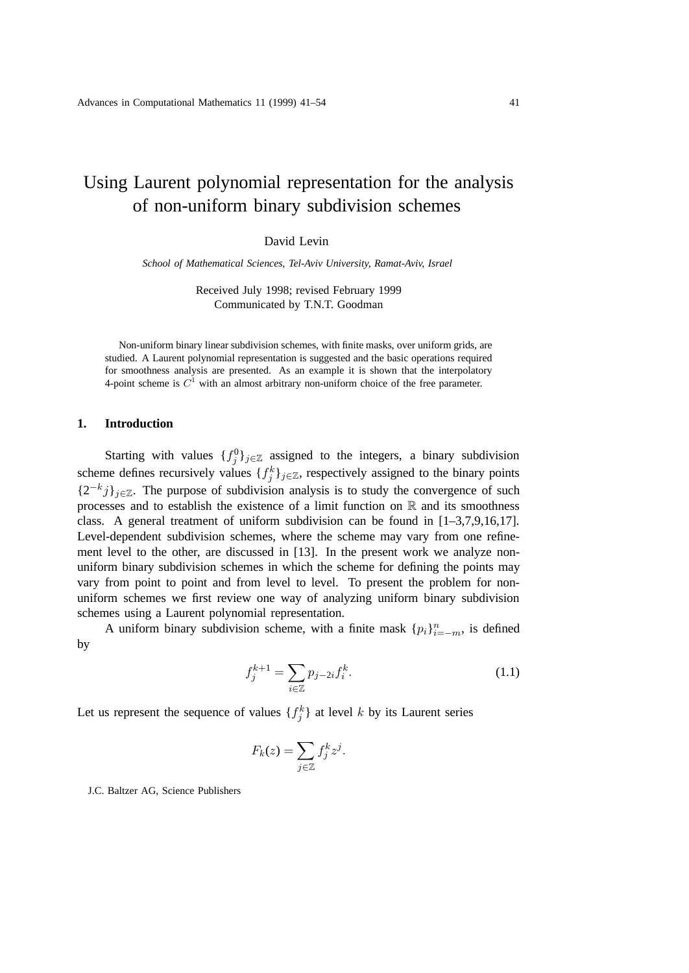# Using Laurent polynomial representation for the analysis of non-uniform binary subdivision schemes

David Levin

*School of Mathematical Sciences, Tel-Aviv University, Ramat-Aviv, Israel*

Received July 1998; revised February 1999 Communicated by T.N.T. Goodman

Non-uniform binary linear subdivision schemes, with finite masks, over uniform grids, are studied. A Laurent polynomial representation is suggested and the basic operations required for smoothness analysis are presented. As an example it is shown that the interpolatory 4-point scheme is  $C<sup>1</sup>$  with an almost arbitrary non-uniform choice of the free parameter.

## **1. Introduction**

Starting with values  $\{f_j^0\}_{j\in\mathbb{Z}}$  assigned to the integers, a binary subdivision scheme defines recursively values  $\{f_j^k\}_{j\in\mathbb{Z}}$ , respectively assigned to the binary points  ${2^{-k}j}_{j\in\mathbb{Z}}$ . The purpose of subdivision analysis is to study the convergence of such processes and to establish the existence of a limit function on  $\mathbb R$  and its smoothness class. A general treatment of uniform subdivision can be found in  $[1-3,7,9,16,17]$ . Level-dependent subdivision schemes, where the scheme may vary from one refinement level to the other, are discussed in [13]. In the present work we analyze nonuniform binary subdivision schemes in which the scheme for defining the points may vary from point to point and from level to level. To present the problem for nonuniform schemes we first review one way of analyzing uniform binary subdivision schemes using a Laurent polynomial representation.

A uniform binary subdivision scheme, with a finite mask  ${p_i}_{i=-m}^n$ , is defined by

$$
f_j^{k+1} = \sum_{i \in \mathbb{Z}} p_{j-2i} f_i^k.
$$
 (1.1)

Let us represent the sequence of values  $\{f_j^k\}$  at level k by its Laurent series

$$
F_k(z) = \sum_{j \in \mathbb{Z}} f_j^k z^j.
$$

J.C. Baltzer AG, Science Publishers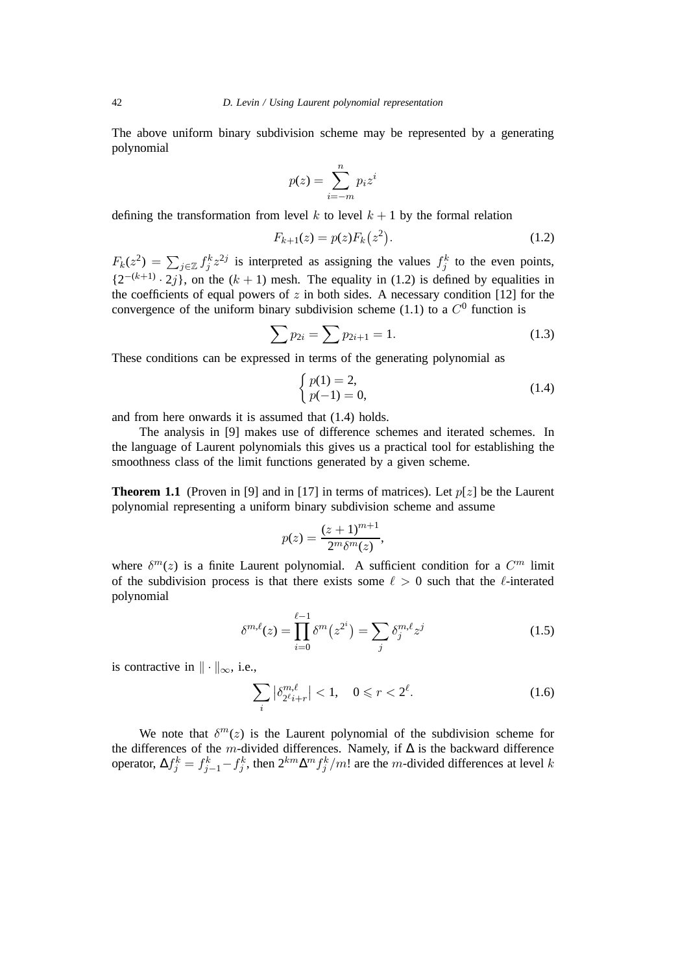The above uniform binary subdivision scheme may be represented by a generating polynomial

$$
p(z) = \sum_{i=-m}^{n} p_i z^i
$$

defining the transformation from level  $k$  to level  $k + 1$  by the formal relation

$$
F_{k+1}(z) = p(z)F_k(z^2).
$$
 (1.2)

 $F_k(z^2) = \sum_{j \in \mathbb{Z}} f_j^k z^{2j}$  is interpreted as assigning the values  $f_j^k$  to the even points,  $\{2^{-(k+1)} \cdot 2j\}$ , on the  $(k + 1)$  mesh. The equality in (1.2) is defined by equalities in the coefficients of equal powers of z in both sides. A necessary condition  $[12]$  for the convergence of the uniform binary subdivision scheme (1.1) to a  $C^0$  function is

$$
\sum p_{2i} = \sum p_{2i+1} = 1. \tag{1.3}
$$

These conditions can be expressed in terms of the generating polynomial as

$$
\begin{cases} p(1) = 2, \\ p(-1) = 0, \end{cases}
$$
 (1.4)

and from here onwards it is assumed that (1.4) holds.

The analysis in [9] makes use of difference schemes and iterated schemes. In the language of Laurent polynomials this gives us a practical tool for establishing the smoothness class of the limit functions generated by a given scheme.

**Theorem 1.1** (Proven in [9] and in [17] in terms of matrices). Let  $p[z]$  be the Laurent polynomial representing a uniform binary subdivision scheme and assume

$$
p(z) = \frac{(z+1)^{m+1}}{2^m \delta^m(z)},
$$

where  $\delta^{m}(z)$  is a finite Laurent polynomial. A sufficient condition for a  $C^{m}$  limit of the subdivision process is that there exists some  $\ell > 0$  such that the  $\ell$ -interated polynomial

$$
\delta^{m,\ell}(z) = \prod_{i=0}^{\ell-1} \delta^m(z^{2^i}) = \sum_j \delta^{m,\ell}_j z^j
$$
 (1.5)

is contractive in  $\|\cdot\|_{\infty}$ , i.e.,

$$
\sum_{i} \left| \delta_{2^{\ell} i + r}^{m, \ell} \right| < 1, \quad 0 \leqslant r < 2^{\ell}.\tag{1.6}
$$

We note that  $\delta^{m}(z)$  is the Laurent polynomial of the subdivision scheme for the differences of the m-divided differences. Namely, if  $\Delta$  is the backward difference operator,  $\Delta f_j^k = f_{j-1}^k - f_j^k$ , then  $2^{km} \Delta^m f_j^k / m!$  are the m-divided differences at level k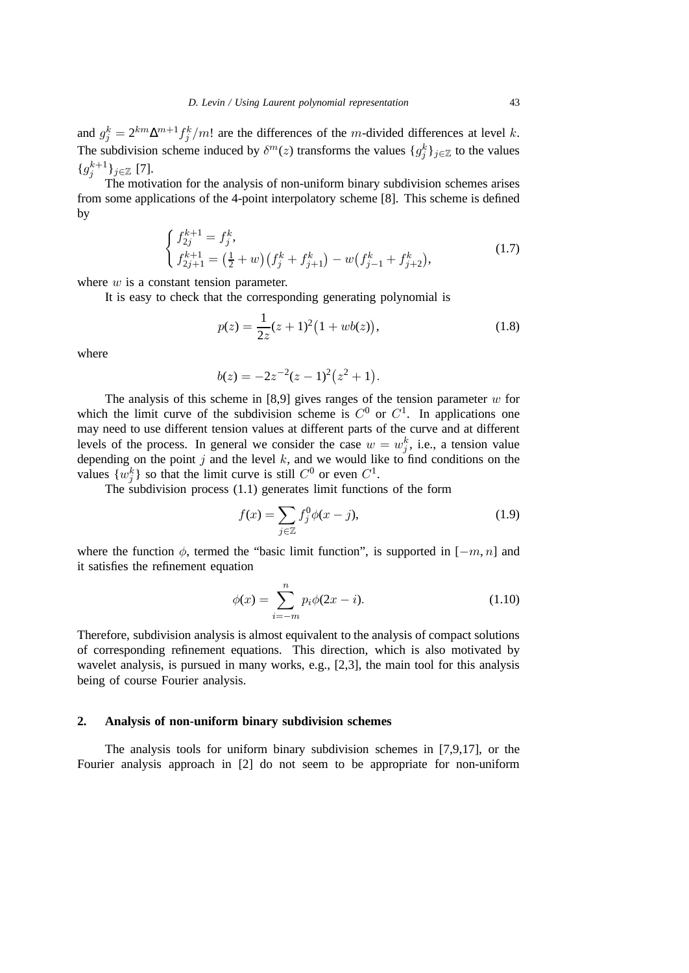and  $g_j^k = 2^{km} \Delta^{m+1} f_j^k/m!$  are the differences of the m-divided differences at level k. The subdivision scheme induced by  $\delta^{m}(z)$  transforms the values  $\{g_j^k\}_{j\in\mathbb{Z}}$  to the values  $\{g_j^{k+1}\}_{{j\in\mathbb{Z}}}$  [7].

The motivation for the analysis of non-uniform binary subdivision schemes arises from some applications of the 4-point interpolatory scheme [8]. This scheme is defined by

$$
\begin{cases}\nf_{2j}^{k+1} = f_j^k, \\
f_{2j+1}^{k+1} = \left(\frac{1}{2} + w\right) \left(f_j^k + f_{j+1}^k\right) - w \left(f_{j-1}^k + f_{j+2}^k\right),\n\end{cases} \tag{1.7}
$$

where  $w$  is a constant tension parameter.

It is easy to check that the corresponding generating polynomial is

$$
p(z) = \frac{1}{2z}(z+1)^2(1+wb(z)),
$$
\n(1.8)

where

$$
b(z) = -2z^{-2}(z-1)^2(z^2+1).
$$

The analysis of this scheme in [8,9] gives ranges of the tension parameter  $w$  for which the limit curve of the subdivision scheme is  $C^0$  or  $C^1$ . In applications one may need to use different tension values at different parts of the curve and at different levels of the process. In general we consider the case  $w = w_j^k$ , i.e., a tension value depending on the point  $j$  and the level  $k$ , and we would like to find conditions on the values  $\{w_j^k\}$  so that the limit curve is still  $C^0$  or even  $C^1$ .

The subdivision process (1.1) generates limit functions of the form

$$
f(x) = \sum_{j \in \mathbb{Z}} f_j^0 \phi(x - j),
$$
 (1.9)

where the function  $\phi$ , termed the "basic limit function", is supported in  $[-m, n]$  and it satisfies the refinement equation

$$
\phi(x) = \sum_{i=-m}^{n} p_i \phi(2x - i).
$$
 (1.10)

Therefore, subdivision analysis is almost equivalent to the analysis of compact solutions of corresponding refinement equations. This direction, which is also motivated by wavelet analysis, is pursued in many works, e.g., [2,3], the main tool for this analysis being of course Fourier analysis.

## **2. Analysis of non-uniform binary subdivision schemes**

The analysis tools for uniform binary subdivision schemes in [7,9,17], or the Fourier analysis approach in [2] do not seem to be appropriate for non-uniform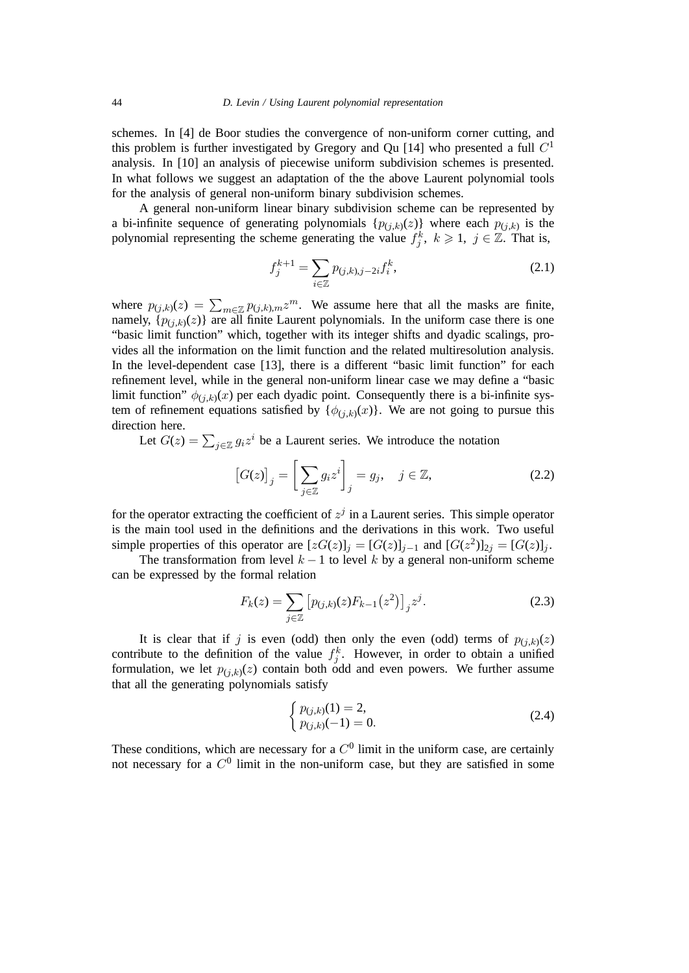schemes. In [4] de Boor studies the convergence of non-uniform corner cutting, and this problem is further investigated by Gregory and Qu [14] who presented a full  $C<sup>1</sup>$ analysis. In [10] an analysis of piecewise uniform subdivision schemes is presented. In what follows we suggest an adaptation of the the above Laurent polynomial tools for the analysis of general non-uniform binary subdivision schemes.

A general non-uniform linear binary subdivision scheme can be represented by a bi-infinite sequence of generating polynomials  $\{p_{(j,k)}(z)\}\$  where each  $p_{(j,k)}\$  is the polynomial representing the scheme generating the value  $f_j^k$ ,  $k \geq 1$ ,  $j \in \mathbb{Z}$ . That is,

$$
f_j^{k+1} = \sum_{i \in \mathbb{Z}} p_{(j,k),j-2i} f_i^k,
$$
\n(2.1)

where  $p_{(j,k)}(z) = \sum_{m \in \mathbb{Z}} p_{(j,k),m} z^m$ . We assume here that all the masks are finite, namely,  $\{p_{(i,k)}(z)\}\$  are all finite Laurent polynomials. In the uniform case there is one "basic limit function" which, together with its integer shifts and dyadic scalings, provides all the information on the limit function and the related multiresolution analysis. In the level-dependent case [13], there is a different "basic limit function" for each refinement level, while in the general non-uniform linear case we may define a "basic limit function"  $\phi_{(j,k)}(x)$  per each dyadic point. Consequently there is a bi-infinite system of refinement equations satisfied by  $\{\phi_{(i,k)}(x)\}\)$ . We are not going to pursue this direction here.

Let  $G(z) = \sum_{j \in \mathbb{Z}} g_i z^i$  be a Laurent series. We introduce the notation

$$
[G(z)]_j = \left[\sum_{j \in \mathbb{Z}} g_i z^i\right]_j = g_j, \quad j \in \mathbb{Z}, \tag{2.2}
$$

for the operator extracting the coefficient of  $z<sup>j</sup>$  in a Laurent series. This simple operator is the main tool used in the definitions and the derivations in this work. Two useful simple properties of this operator are  $[zG(z)]_j = [G(z)]_{j-1}$  and  $[G(z^2)]_{2j} = [G(z)]_j$ .

The transformation from level  $k - 1$  to level k by a general non-uniform scheme can be expressed by the formal relation

$$
F_k(z) = \sum_{j \in \mathbb{Z}} \left[ p_{(j,k)}(z) F_{k-1}(z^2) \right]_j z^j.
$$
 (2.3)

It is clear that if j is even (odd) then only the even (odd) terms of  $p_{(j,k)}(z)$ contribute to the definition of the value  $f_j^k$ . However, in order to obtain a unified formulation, we let  $p_{(i,k)}(z)$  contain both odd and even powers. We further assume that all the generating polynomials satisfy

$$
\begin{cases}\np_{(j,k)}(1) = 2, \\
p_{(j,k)}(-1) = 0.\n\end{cases}
$$
\n(2.4)

These conditions, which are necessary for a  $C^0$  limit in the uniform case, are certainly not necessary for a  $C^0$  limit in the non-uniform case, but they are satisfied in some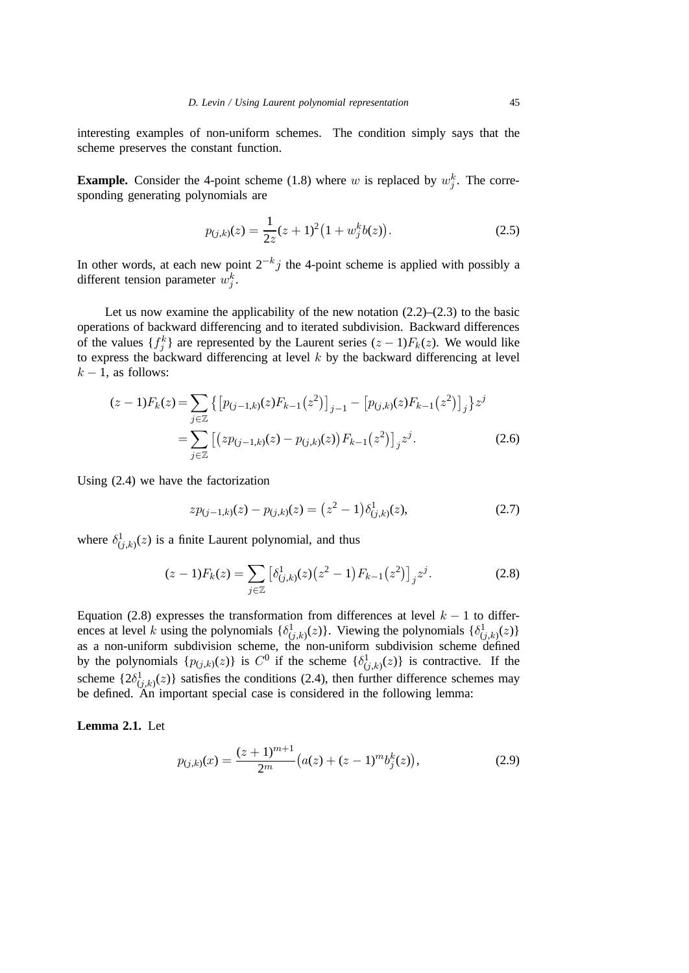interesting examples of non-uniform schemes. The condition simply says that the scheme preserves the constant function.

**Example.** Consider the 4-point scheme (1.8) where w is replaced by  $w_j^k$ . The corresponding generating polynomials are

$$
p_{(j,k)}(z) = \frac{1}{2z}(z+1)^2\big(1+w_j^k b(z)\big). \tag{2.5}
$$

In other words, at each new point  $2^{-k}j$  the 4-point scheme is applied with possibly a different tension parameter  $w_j^k$ .

Let us now examine the applicability of the new notation  $(2.2)$ – $(2.3)$  to the basic operations of backward differencing and to iterated subdivision. Backward differences of the values  $\{f_j^k\}$  are represented by the Laurent series  $(z-1)F_k(z)$ . We would like to express the backward differencing at level  $k$  by the backward differencing at level  $k - 1$ , as follows:

$$
(z-1)F_k(z) = \sum_{j \in \mathbb{Z}} \left\{ \left[ p_{(j-1,k)}(z) F_{k-1}(z^2) \right]_{j-1} - \left[ p_{(j,k)}(z) F_{k-1}(z^2) \right]_j \right\} z^j
$$
  
= 
$$
\sum_{j \in \mathbb{Z}} \left[ \left( z p_{(j-1,k)}(z) - p_{(j,k)}(z) \right) F_{k-1}(z^2) \right]_j z^j.
$$
 (2.6)

Using (2.4) we have the factorization

$$
zp_{(j-1,k)}(z) - p_{(j,k)}(z) = (z^2 - 1)\delta_{(j,k)}^1(z),
$$
\n(2.7)

where  $\delta^1_{(j,k)}(z)$  is a finite Laurent polynomial, and thus

$$
(z-1)F_k(z) = \sum_{j \in \mathbb{Z}} \left[ \delta^1_{(j,k)}(z) \left( z^2 - 1 \right) F_{k-1}(z^2) \right]_j z^j. \tag{2.8}
$$

Equation (2.8) expresses the transformation from differences at level  $k - 1$  to differences at level k using the polynomials  $\{\delta^1_{(j,k)}(z)\}$ . Viewing the polynomials  $\{\delta^1_{(j,k)}(z)\}$ as a non-uniform subdivision scheme, the non-uniform subdivision scheme defined by the polynomials  $\{p_{(j,k)}(z)\}\$ is  $C^0$  if the scheme  $\{\delta^1_{(j,k)}(z)\}\$ is contractive. If the scheme  $\{2\delta^1_{(j,k)}(z)\}\$  satisfies the conditions (2.4), then further difference schemes may be defined. An important special case is considered in the following lemma:

**Lemma 2.1.** Let

$$
p_{(j,k)}(x) = \frac{(z+1)^{m+1}}{2^m} \big(a(z) + (z-1)^m b_j^k(z)\big),\tag{2.9}
$$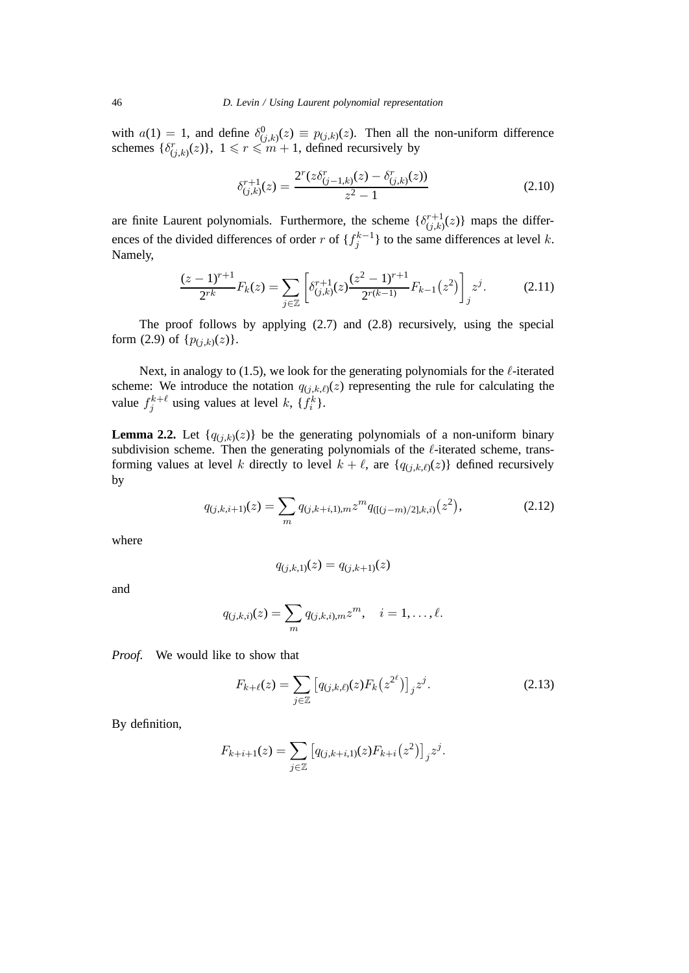with  $a(1) = 1$ , and define  $\delta^0_{(j,k)}(z) \equiv p_{(j,k)}(z)$ . Then all the non-uniform difference schemes  $\{\delta_{(j,k)}^r(z)\}\$ ,  $1 \leq r \leq m+1$ , defined recursively by

$$
\delta_{(j,k)}^{r+1}(z) = \frac{2^r (z \delta_{(j-1,k)}^r(z) - \delta_{(j,k)}^r(z))}{z^2 - 1}
$$
\n(2.10)

are finite Laurent polynomials. Furthermore, the scheme  $\{\delta_{(j,k)}^{r+1}(z)\}$  maps the differences of the divided differences of order r of  $\{f_j^{k-1}\}\$  to the same differences at level k. Namely,

$$
\frac{(z-1)^{r+1}}{2^{rk}}F_k(z) = \sum_{j\in\mathbb{Z}} \left[ \delta_{(j,k)}^{r+1}(z) \frac{(z^2-1)^{r+1}}{2^{r(k-1)}} F_{k-1}(z^2) \right]_j z^j.
$$
 (2.11)

The proof follows by applying (2.7) and (2.8) recursively, using the special form (2.9) of  $\{p_{(j,k)}(z)\}.$ 

Next, in analogy to (1.5), we look for the generating polynomials for the  $\ell$ -iterated scheme: We introduce the notation  $q_{(j,k,\ell)}(z)$  representing the rule for calculating the value  $f_j^{k+\ell}$  using values at level k, { $f_i^k$ }.

**Lemma 2.2.** Let  $\{q_{(j,k)}(z)\}\)$  be the generating polynomials of a non-uniform binary subdivision scheme. Then the generating polynomials of the  $\ell$ -iterated scheme, transforming values at level k directly to level  $k + \ell$ , are  $\{q_{(j,k,\ell)}(z)\}\$  defined recursively by

$$
q_{(j,k,i+1)}(z) = \sum_{m} q_{(j,k+i,1),m} z^{m} q_{([j-m)/2],k,i)}(z^{2}),
$$
\n(2.12)

where

$$
q_{(j,k,1)}(z) = q_{(j,k+1)}(z)
$$

and

$$
q_{(j,k,i)}(z) = \sum_{m} q_{(j,k,i),m} z^{m}, \quad i = 1, ..., \ell.
$$

*Proof.* We would like to show that

$$
F_{k+\ell}(z) = \sum_{j \in \mathbb{Z}} \left[ q_{(j,k,\ell)}(z) F_k(z^{2^{\ell}}) \right]_j z^j.
$$
 (2.13)

By definition,

$$
F_{k+i+1}(z) = \sum_{j \in \mathbb{Z}} \left[ q_{(j,k+i,1)}(z) F_{k+i}(z^2) \right]_j z^j.
$$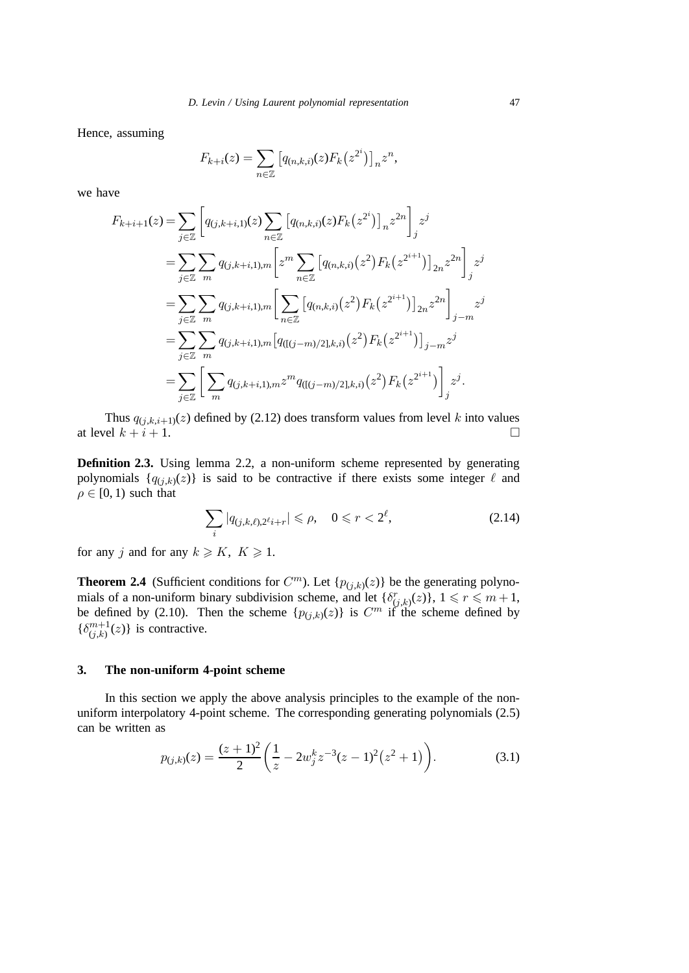Hence, assuming

$$
F_{k+i}(z) = \sum_{n \in \mathbb{Z}} \left[ q_{(n,k,i)}(z) F_k(z^{2^i}) \right]_n z^n,
$$

we have

$$
F_{k+i+1}(z) = \sum_{j \in \mathbb{Z}} \left[ q_{(j,k+i,1)}(z) \sum_{n \in \mathbb{Z}} \left[ q_{(n,k,i)}(z) F_k(z^{2i}) \right]_n z^{2n} \right]_j z^j
$$
  
\n
$$
= \sum_{j \in \mathbb{Z}} \sum_m q_{(j,k+i,1),m} \left[ z^m \sum_{n \in \mathbb{Z}} \left[ q_{(n,k,i)}(z^2) F_k(z^{2^{i+1}}) \right]_{2n} z^{2n} \right]_j z^j
$$
  
\n
$$
= \sum_{j \in \mathbb{Z}} \sum_m q_{(j,k+i,1),m} \left[ \sum_{n \in \mathbb{Z}} \left[ q_{(n,k,i)}(z^2) F_k(z^{2^{i+1}}) \right]_{2n} z^{2n} \right]_{j-m} z^j
$$
  
\n
$$
= \sum_{j \in \mathbb{Z}} \sum_m q_{(j,k+i,1),m} \left[ q_{((j-m)/2],k,i)}(z^2) F_k(z^{2^{i+1}}) \right]_{j-m} z^j
$$
  
\n
$$
= \sum_{j \in \mathbb{Z}} \left[ \sum_m q_{(j,k+i,1),m} z^m q_{((j-m)/2],k,i)}(z^2) F_k(z^{2^{i+1}}) \right]_j z^j.
$$

Thus  $q_{(j,k,i+1)}(z)$  defined by (2.12) does transform values from level k into values at level  $k + i + 1$ .

**Definition 2.3.** Using lemma 2.2, a non-uniform scheme represented by generating polynomials  $\{q_{(j,k)}(z)\}\$ is said to be contractive if there exists some integer  $\ell$  and  $\rho \in [0, 1)$  such that

$$
\sum_{i} |q_{(j,k,\ell),2\ell_{i+r}}| \leqslant \rho, \quad 0 \leqslant r < 2^{\ell}, \tag{2.14}
$$

for any j and for any  $k \geq K$ ,  $K \geq 1$ .

**Theorem 2.4** (Sufficient conditions for  $C^m$ ). Let  $\{p_{(j,k)}(z)\}$  be the generating polynomials of a non-uniform binary subdivision scheme, and let  $\{\delta_{(j,k)}^r(z)\}\,$ ,  $1 \leq r \leq m+1$ , be defined by (2.10). Then the scheme  $\{p_{(j,k)}(z)\}\$ is  $C^m$  if the scheme defined by  $\{\delta^{m+1}_{(j,k)}(z)\}\$  is contractive.

## **3. The non-uniform 4-point scheme**

In this section we apply the above analysis principles to the example of the nonuniform interpolatory 4-point scheme. The corresponding generating polynomials (2.5) can be written as

$$
p_{(j,k)}(z) = \frac{(z+1)^2}{2} \left( \frac{1}{z} - 2w_j^k z^{-3} (z-1)^2 (z^2+1) \right).
$$
 (3.1)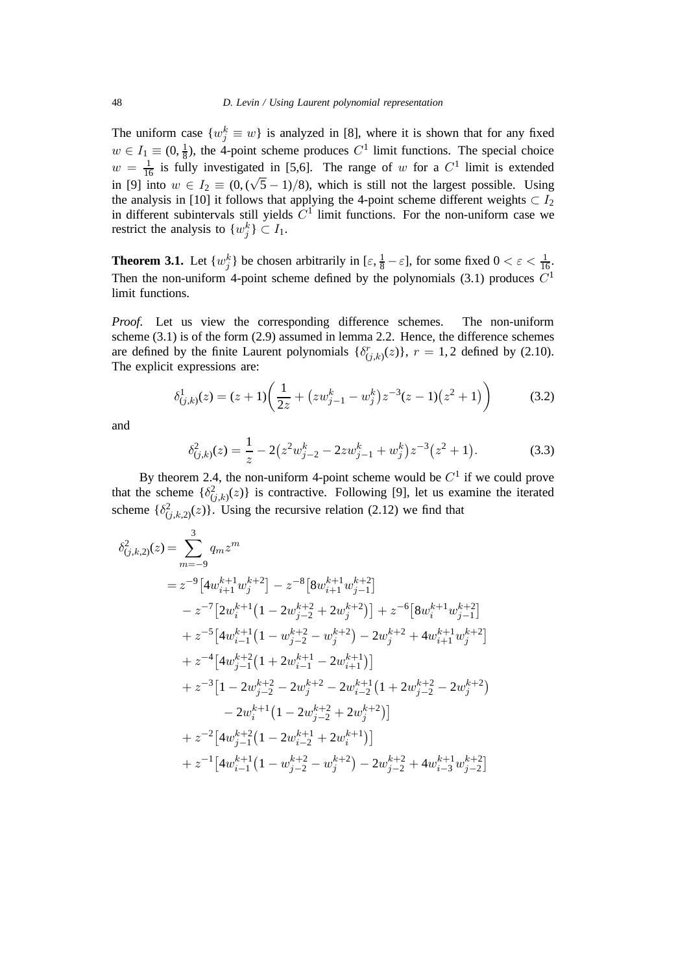The uniform case  $\{w_j^k \equiv w\}$  is analyzed in [8], where it is shown that for any fixed  $w \in I_1 \equiv (0, \frac{1}{8})$ , the 4-point scheme produces  $C^1$  limit functions. The special choice  $w = \frac{1}{16}$  is fully investigated in [5,6]. The range of w for a  $C^1$  limit is extended in [9] into  $w \in I_2 \equiv (0, (\sqrt{5} - 1)/8)$ , which is still not the largest possible. Using the analysis in [10] it follows that applying the 4-point scheme different weights  $\subset I_2$ in different subintervals still yields  $C<sup>1</sup>$  limit functions. For the non-uniform case we restrict the analysis to  $\{w_j^k\} \subset I_1$ .

**Theorem 3.1.** Let  $\{w_j^k\}$  be chosen arbitrarily in  $[\varepsilon, \frac{1}{8} - \varepsilon]$ , for some fixed  $0 < \varepsilon < \frac{1}{16}$ . Then the non-uniform 4-point scheme defined by the polynomials  $(3.1)$  produces  $C<sup>1</sup>$ limit functions.

*Proof.* Let us view the corresponding difference schemes. The non-uniform scheme (3.1) is of the form (2.9) assumed in lemma 2.2. Hence, the difference schemes are defined by the finite Laurent polynomials  $\{\delta_{(j,k)}^r(z)\}\$ ,  $r = 1, 2$  defined by (2.10). The explicit expressions are:

$$
\delta_{(j,k)}^1(z) = (z+1)\left(\frac{1}{2z} + (zw_{j-1}^k - w_j^k)z^{-3}(z-1)(z^2+1)\right) \tag{3.2}
$$

and

$$
\delta_{(j,k)}^2(z) = \frac{1}{z} - 2\left(z^2 w_{j-2}^k - 2zw_{j-1}^k + w_j^k\right)z^{-3}\left(z^2 + 1\right). \tag{3.3}
$$

By theorem 2.4, the non-uniform 4-point scheme would be  $C<sup>1</sup>$  if we could prove that the scheme  $\{\delta^2_{(j,k)}(z)\}$  is contractive. Following [9], let us examine the iterated scheme  $\{\delta^2_{(j,k,2)}(z)\}\)$ . Using the recursive relation (2.12) we find that

$$
\delta_{(j,k,2)}^{2}(z) = \sum_{m=-9}^{3} q_{m} z^{m}
$$
\n
$$
= z^{-9} \left[ 4w_{i+1}^{k+1} w_{j}^{k+2} \right] - z^{-8} \left[ 8w_{i+1}^{k+1} w_{j-1}^{k+2} \right]
$$
\n
$$
- z^{-7} \left[ 2w_{i}^{k+1} \left( 1 - 2w_{j-2}^{k+2} + 2w_{j}^{k+2} \right) \right] + z^{-6} \left[ 8w_{i}^{k+1} w_{j-1}^{k+2} \right]
$$
\n
$$
+ z^{-5} \left[ 4w_{i-1}^{k+1} \left( 1 - w_{j-2}^{k+2} - w_{j}^{k+2} \right) - 2w_{j}^{k+2} + 4w_{i+1}^{k+1} w_{j}^{k+2} \right]
$$
\n
$$
+ z^{-4} \left[ 4w_{j-1}^{k+2} \left( 1 + 2w_{i-1}^{k+1} - 2w_{i+1}^{k+1} \right) \right]
$$
\n
$$
+ z^{-3} \left[ 1 - 2w_{j-2}^{k+2} - 2w_{j}^{k+2} - 2w_{i-2}^{k+1} \left( 1 + 2w_{j-2}^{k+2} - 2w_{j}^{k+2} \right) - 2w_{i}^{k+1} \left( 1 - 2w_{j-2}^{k+2} + 2w_{j}^{k+2} \right) \right]
$$
\n
$$
+ z^{-2} \left[ 4w_{j-1}^{k+2} \left( 1 - 2w_{i-2}^{k+1} + 2w_{i}^{k+1} \right) \right]
$$
\n
$$
+ z^{-1} \left[ 4w_{i-1}^{k+1} \left( 1 - w_{j-2}^{k+2} - w_{j}^{k+2} \right) - 2w_{j-2}^{k+2} + 4w_{i-3}^{k+1} w_{j-2}^{k+2} \right]
$$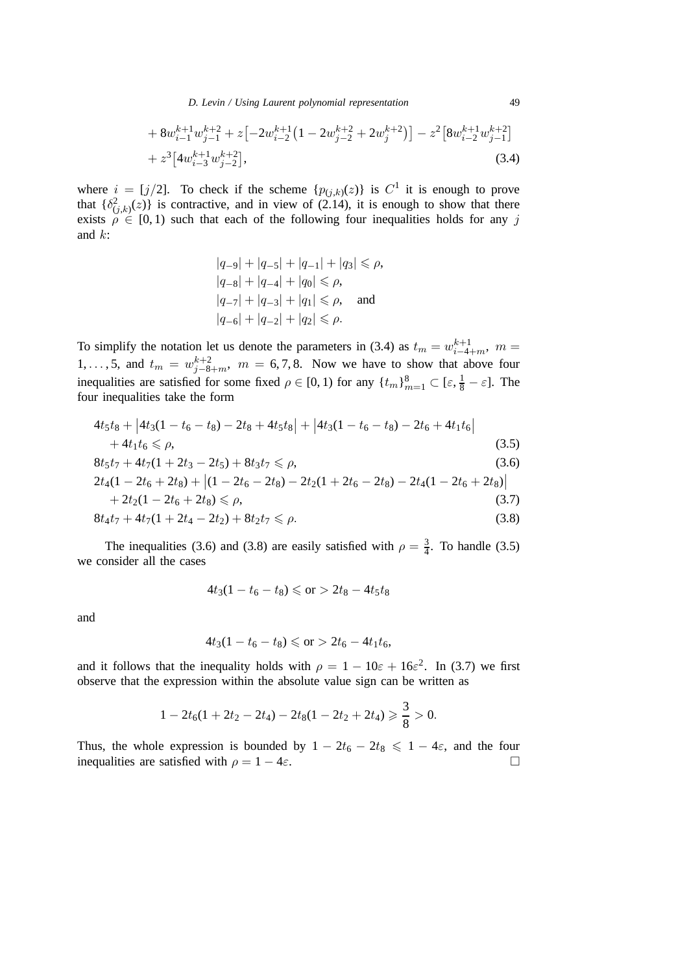*D. Levin / Using Laurent polynomial representation* 49

+ 
$$
8w_{i-1}^{k+1}w_{j-1}^{k+2} + z[-2w_{i-2}^{k+1}(1-2w_{j-2}^{k+2}+2w_j^{k+2})] - z^2[8w_{i-2}^{k+1}w_{j-1}^{k+2}]
$$
  
+  $z^3[4w_{i-3}^{k+1}w_{j-2}^{k+2}],$  (3.4)

where  $i = [j/2]$ . To check if the scheme  $\{p_{(j,k)}(z)\}\$ is  $C^1$  it is enough to prove that  $\{\delta^2_{(j,k)}(z)\}\$ is contractive, and in view of (2.14), it is enough to show that there exists  $\rho \in [0, 1)$  such that each of the following four inequalities holds for any j and k:

$$
|q_{-9}| + |q_{-5}| + |q_{-1}| + |q_3| \leq \rho,
$$
  
\n
$$
|q_{-8}| + |q_{-4}| + |q_0| \leq \rho,
$$
  
\n
$$
|q_{-7}| + |q_{-3}| + |q_1| \leq \rho,
$$
 and  
\n
$$
|q_{-6}| + |q_{-2}| + |q_2| \leq \rho.
$$

To simplify the notation let us denote the parameters in (3.4) as  $t_m = w_{i-4+m}^{k+1}$ ,  $m =$ 1,..., 5, and  $t_m = w_{j-8+m}^{k+2}$ ,  $m = 6, 7, 8$ . Now we have to show that above four inequalities are satisfied for some fixed  $\rho \in [0, 1)$  for any  $\{t_m\}_{m=1}^8 \subset [\varepsilon, \frac{1}{8} - \varepsilon]$ . The four inequalities take the form

$$
4t_5t_8 + |4t_3(1 - t_6 - t_8) - 2t_8 + 4t_5t_8| + |4t_3(1 - t_6 - t_8) - 2t_6 + 4t_1t_6|
$$
  
+ 4t\_1t\_6 \le \rho, (3.5)  

$$
8t_5t_7 + 4t_7(1 + 2t_3 - 2t_5) + 8t_3t_7 \le \rho,
$$
  

$$
2t_4(1 - 2t_6 + 2t_8) + |(1 - 2t_6 - 2t_8) - 2t_2(1 + 2t_6 - 2t_8) - 2t_4(1 - 2t_6 + 2t_8)|
$$
  
+ 2t\_2(1 - 2t\_6 + 2t\_8) \le \rho, (3.7)

$$
8t_4t_7 + 4t_7(1+2t_4-2t_2) + 8t_2t_7 \leq \rho.
$$
\n(3.8)

The inequalities (3.6) and (3.8) are easily satisfied with  $\rho = \frac{3}{4}$ . To handle (3.5) we consider all the cases

$$
4t_3(1-t_6-t_8) \leqslant \text{or} > 2t_8 - 4t_5t_8
$$

and

$$
4t_3(1-t_6-t_8) \leqslant \text{or} > 2t_6 - 4t_1t_6,
$$

and it follows that the inequality holds with  $\rho = 1 - 10\varepsilon + 16\varepsilon^2$ . In (3.7) we first observe that the expression within the absolute value sign can be written as

$$
1-2t_6(1+2t_2-2t_4)-2t_8(1-2t_2+2t_4)\geq \frac{3}{8}>0.
$$

Thus, the whole expression is bounded by  $1 - 2t_6 - 2t_8 \leq 1 - 4\varepsilon$ , and the four inequalities are satisfied with  $\rho = 1 - 4\varepsilon$ . inequalities are satisfied with  $\rho = 1 - 4\varepsilon$ .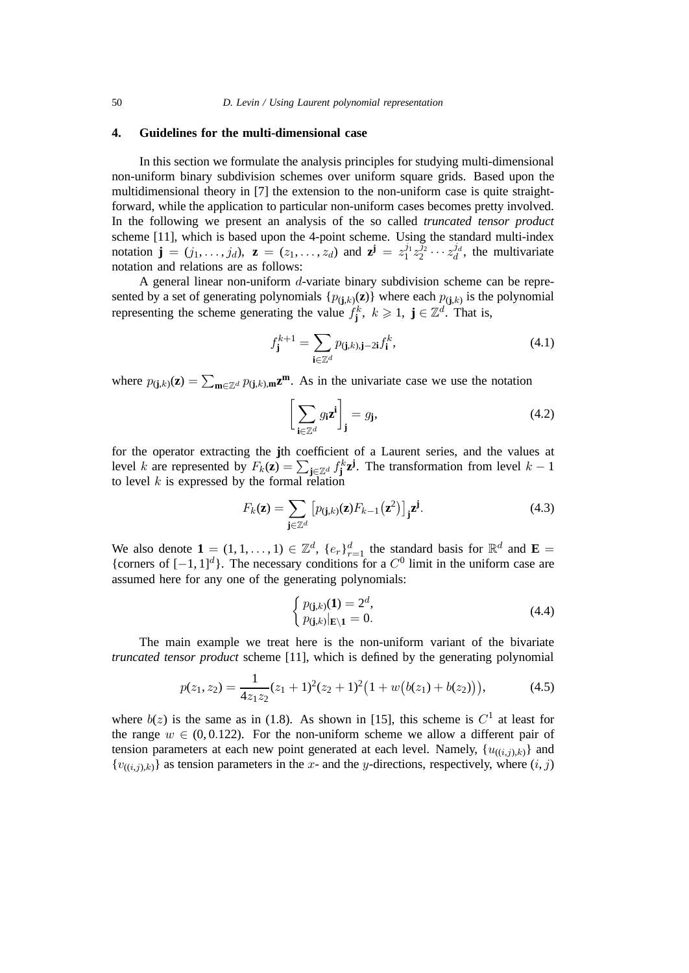## **4. Guidelines for the multi-dimensional case**

In this section we formulate the analysis principles for studying multi-dimensional non-uniform binary subdivision schemes over uniform square grids. Based upon the multidimensional theory in [7] the extension to the non-uniform case is quite straightforward, while the application to particular non-uniform cases becomes pretty involved. In the following we present an analysis of the so called *truncated tensor product* scheme [11], which is based upon the 4-point scheme. Using the standard multi-index notation  $\mathbf{j} = (j_1, \ldots, j_d)$ ,  $\mathbf{z} = (z_1, \ldots, z_d)$  and  $\mathbf{z}^{\mathbf{j}} = z_1^{j_1} z_2^{j_2} \cdots z_d^{j_d}$ , the multivariate notation and relations are as follows:

A general linear non-uniform d-variate binary subdivision scheme can be represented by a set of generating polynomials  $\{p_{(j,k)}(z)\}\$  where each  $p_{(j,k)}\$  is the polynomial representing the scheme generating the value  $f_j^k$ ,  $k \geq 1$ ,  $j \in \mathbb{Z}^d$ . That is,

$$
f_{\mathbf{j}}^{k+1} = \sum_{\mathbf{i} \in \mathbb{Z}^d} p_{(\mathbf{j},k),\mathbf{j}-2\mathbf{i}} f_{\mathbf{i}}^k,\tag{4.1}
$$

where  $p_{(\mathbf{j},k)}(\mathbf{z}) = \sum_{\mathbf{m}\in\mathbb{Z}^d} p_{(\mathbf{j},k),\mathbf{m}}\mathbf{z}^{\mathbf{m}}$ . As in the univariate case we use the notation

$$
\left[\sum_{\mathbf{i}\in\mathbb{Z}^d} g_{\mathbf{i}} \mathbf{z}^{\mathbf{i}}\right]_{\mathbf{j}} = g_{\mathbf{j}},\tag{4.2}
$$

for the operator extracting the **j**th coefficient of a Laurent series, and the values at level k are represented by  $F_k(z) = \sum_{\mathbf{j} \in \mathbb{Z}^d} f_{\mathbf{j}}^k z^{\mathbf{j}}$ . The transformation from level  $k-1$ to level  $k$  is expressed by the formal relation

$$
F_k(\mathbf{z}) = \sum_{\mathbf{j} \in \mathbb{Z}^d} \left[ p_{(\mathbf{j},k)}(\mathbf{z}) F_{k-1}(\mathbf{z}^2) \right]_{\mathbf{j}} \mathbf{z}^{\mathbf{j}}.
$$
 (4.3)

We also denote  $\mathbf{1} = (1, 1, \ldots, 1) \in \mathbb{Z}^d$ ,  $\{e_r\}_{r=1}^d$  the standard basis for  $\mathbb{R}^d$  and  $\mathbf{E} =$ {corners of  $[-1, 1]^d$ }. The necessary conditions for a  $C^0$  limit in the uniform case are assumed here for any one of the generating polynomials:

$$
\begin{cases} p_{(j,k)}(1) = 2^d, \\ p_{(j,k)}|_{E \setminus 1} = 0. \end{cases} \tag{4.4}
$$

The main example we treat here is the non-uniform variant of the bivariate *truncated tensor product* scheme [11], which is defined by the generating polynomial

$$
p(z_1, z_2) = \frac{1}{4z_1 z_2} (z_1 + 1)^2 (z_2 + 1)^2 (1 + w(b(z_1) + b(z_2))), \tag{4.5}
$$

where  $b(z)$  is the same as in (1.8). As shown in [15], this scheme is  $C<sup>1</sup>$  at least for the range  $w \in (0, 0.122)$ . For the non-uniform scheme we allow a different pair of tension parameters at each new point generated at each level. Namely,  $\{u_{((i,j),k)}\}$  and  ${v_{((i,j),k)}}$  as tension parameters in the x- and the y-directions, respectively, where  $(i, j)$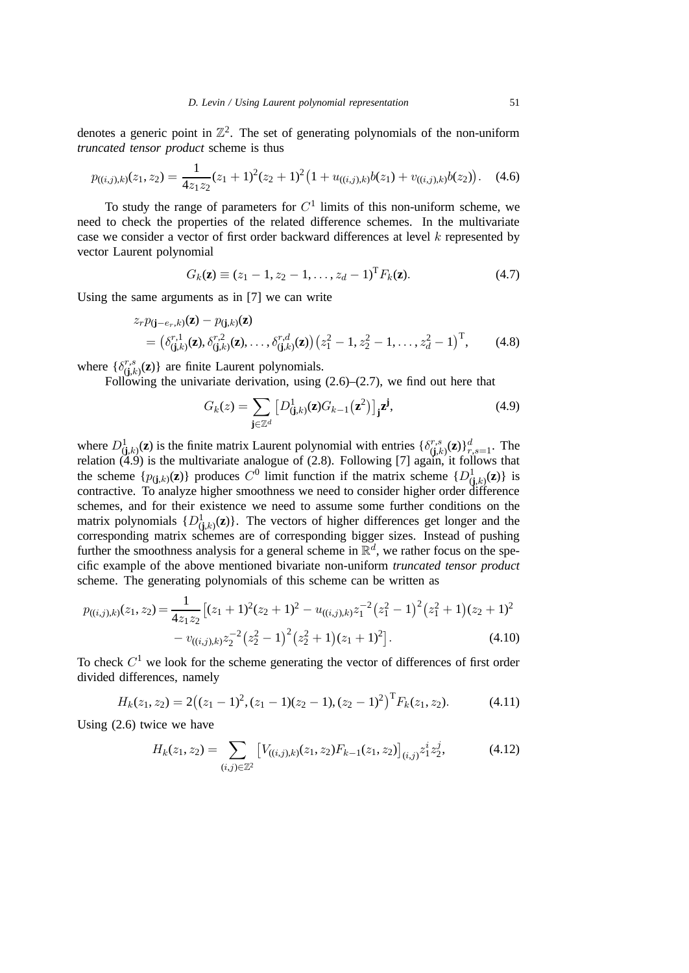denotes a generic point in  $\mathbb{Z}^2$ . The set of generating polynomials of the non-uniform *truncated tensor product* scheme is thus

$$
p_{((i,j),k)}(z_1, z_2) = \frac{1}{4z_1z_2}(z_1+1)^2(z_2+1)^2\big(1+u_{((i,j),k)}b(z_1)+v_{((i,j),k)}b(z_2)\big). \tag{4.6}
$$

To study the range of parameters for  $C<sup>1</sup>$  limits of this non-uniform scheme, we need to check the properties of the related difference schemes. In the multivariate case we consider a vector of first order backward differences at level  $k$  represented by vector Laurent polynomial

$$
G_k(\mathbf{z}) \equiv (z_1 - 1, z_2 - 1, \dots, z_d - 1)^{\mathrm{T}} F_k(\mathbf{z}). \tag{4.7}
$$

Using the same arguments as in [7] we can write

$$
z_r p_{(\mathbf{j}-e_r,k)}(\mathbf{z}) - p_{(\mathbf{j},k)}(\mathbf{z})
$$
  
=  $(\delta_{(\mathbf{j},k)}^{r,1}(\mathbf{z}), \delta_{(\mathbf{j},k)}^{r,2}(\mathbf{z}), \dots, \delta_{(\mathbf{j},k)}^{r,d}(\mathbf{z})) (z_1^2 - 1, z_2^2 - 1, \dots, z_d^2 - 1)^{\mathrm{T}},$  (4.8)

where  $\{\delta_{(j,k)}^{r,s}(\mathbf{z})\}$  are finite Laurent polynomials.

Following the univariate derivation, using (2.6)–(2.7), we find out here that

$$
G_k(z) = \sum_{\mathbf{j} \in \mathbb{Z}^d} \left[ D^1_{(\mathbf{j},k)}(\mathbf{z}) G_{k-1}(\mathbf{z}^2) \right]_{\mathbf{j}} \mathbf{z}^{\mathbf{j}},\tag{4.9}
$$

where  $D^1_{(j,k)}(z)$  is the finite matrix Laurent polynomial with entries  $\{\delta^{r,s}_{(j,k)}(z)\}_{r,s=1}^d$ . The relation (4.9) is the multivariate analogue of (2.8). Following [7] again, it follows that the scheme  $\{p_{(\mathbf{j},k)}(\mathbf{z})\}$  produces  $C^0$  limit function if the matrix scheme  $\{D_{(\mathbf{j},k)}^1(\mathbf{z})\}$  is contractive. To analyze higher smoothness we need to consider higher order difference schemes, and for their existence we need to assume some further conditions on the matrix polynomials  $\{D_{(j,k)}^1(z)\}$ . The vectors of higher differences get longer and the corresponding matrix schemes are of corresponding bigger sizes. Instead of pushing further the smoothness analysis for a general scheme in  $\mathbb{R}^d$ , we rather focus on the specific example of the above mentioned bivariate non-uniform *truncated tensor product* scheme. The generating polynomials of this scheme can be written as

$$
p_{((i,j),k)}(z_1, z_2) = \frac{1}{4z_1z_2} \left[ (z_1 + 1)^2(z_2 + 1)^2 - u_{((i,j),k)} z_1^{-2} (z_1^2 - 1)^2 (z_1^2 + 1)(z_2 + 1)^2 - v_{((i,j),k)} z_2^{-2} (z_2^2 - 1)^2 (z_2^2 + 1)(z_1 + 1)^2 \right].
$$
\n(4.10)

To check  $C<sup>1</sup>$  we look for the scheme generating the vector of differences of first order divided differences, namely

$$
H_k(z_1, z_2) = 2((z_1 - 1)^2, (z_1 - 1)(z_2 - 1), (z_2 - 1)^2)^{\mathrm{T}} F_k(z_1, z_2).
$$
 (4.11)

Using (2.6) twice we have

$$
H_k(z_1, z_2) = \sum_{(i,j)\in\mathbb{Z}^2} \left[ V_{((i,j),k)}(z_1, z_2) F_{k-1}(z_1, z_2) \right]_{(i,j)} z_1^i z_2^j,
$$
(4.12)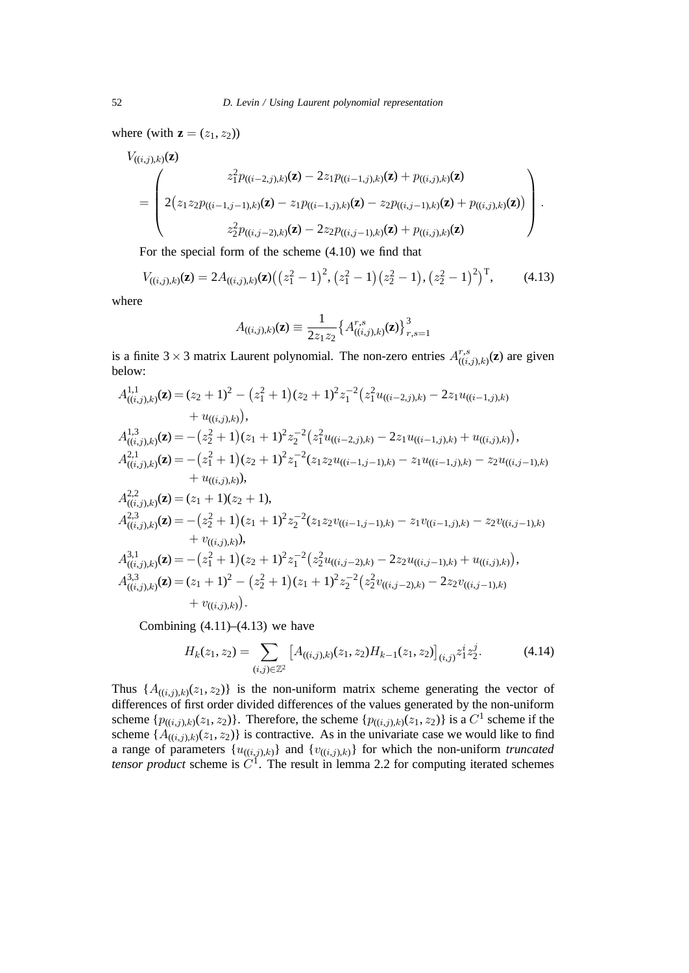where (with  $\mathbf{z} = (z_1, z_2)$ )

$$
V_{((i,j),k)}(\mathbf{z}) = \begin{pmatrix} z_1^2 p_{((i-2,j),k)}(\mathbf{z}) - 2z_1 p_{((i-1,j),k)}(\mathbf{z}) + p_{((i,j),k)}(\mathbf{z}) \\ 2(z_1 z_2 p_{((i-1,j-1),k)}(\mathbf{z}) - z_1 p_{((i-1,j),k)}(\mathbf{z}) - z_2 p_{((i,j-1),k)}(\mathbf{z}) + p_{((i,j),k)}(\mathbf{z})) \\ z_2^2 p_{((i,j-2),k)}(\mathbf{z}) - 2z_2 p_{((i,j-1),k)}(\mathbf{z}) + p_{((i,j),k)}(\mathbf{z}) \end{pmatrix}.
$$

For the special form of the scheme (4.10) we find that

$$
V_{((i,j),k)}(\mathbf{z}) = 2A_{((i,j),k)}(\mathbf{z})\left(\left(z_1^2-1\right)^2,\left(z_1^2-1\right)\left(z_2^2-1\right),\left(z_2^2-1\right)^2\right)^T,\tag{4.13}
$$

where

$$
A_{((i,j),k)}(\mathbf{z}) \equiv \frac{1}{2z_1z_2} \left\{ A^{r,s}_{((i,j),k)}(\mathbf{z}) \right\}_{r,s=1}^3
$$

is a finite  $3 \times 3$  matrix Laurent polynomial. The non-zero entries  $A^{r,s}_{((i,j),k)}(\mathbf{z})$  are given below:

$$
A_{((i,j),k)}^{1,1}(\mathbf{z}) = (z_2 + 1)^2 - (z_1^2 + 1)(z_2 + 1)^2 z_1^{-2} (z_1^2 u_{((i-2,j),k)} - 2z_1 u_{((i-1,j),k)} + u_{((i,j),k)}),
$$
  
\n
$$
A_{((i,j),k)}^{1,3}(\mathbf{z}) = -(z_2^2 + 1)(z_1 + 1)^2 z_2^{-2} (z_1^2 u_{((i-2,j),k)} - 2z_1 u_{((i-1,j),k)} + u_{((i,j),k)}),
$$
  
\n
$$
A_{((i,j),k)}^{2,1}(\mathbf{z}) = -(z_1^2 + 1)(z_2 + 1)^2 z_1^{-2} (z_1 z_2 u_{((i-1,j-1),k)} - z_1 u_{((i-1,j),k)} - z_2 u_{((i,j-1),k)} + u_{((i,j),k)}),
$$
  
\n
$$
A_{((i,j),k)}^{2,2}(\mathbf{z}) = (z_1 + 1)(z_2 + 1),
$$
  
\n
$$
A_{((i,j),k)}^{2,3}(\mathbf{z}) = -(z_2^2 + 1)(z_1 + 1)^2 z_2^{-2} (z_1 z_2 v_{((i-1,j-1),k)} - z_1 v_{((i-1,j),k)} - z_2 v_{((i,j-1),k)} + v_{((i,j),k)}),
$$
  
\n
$$
+ v_{((i,j),k)}(\mathbf{z}) = -(z_1^2 + 1)(z_2 + 1)^2 z_1^{-2} (z_2^2 u_{((i,j-2),k)} - 2z_2 u_{((i,j-1),k)} + u_{((i,j),k)}),
$$
  
\n
$$
A_{((i,j),k)}^{3,3}(\mathbf{z}) = (z_1 + 1)^2 - (z_2^2 + 1)(z_1 + 1)^2 z_2^{-2} (z_2^2 v_{((i,j-2),k)} - 2z_2 v_{((i,j-1),k)} + v_{((i,j),k)}).
$$

Combining  $(4.11)$ – $(4.13)$  we have

$$
H_k(z_1, z_2) = \sum_{(i,j)\in\mathbb{Z}^2} \left[ A_{((i,j),k)}(z_1, z_2) H_{k-1}(z_1, z_2) \right]_{(i,j)} z_1^i z_2^j. \tag{4.14}
$$

Thus  $\{A_{((i,j),k)}(z_1, z_2)\}\$ is the non-uniform matrix scheme generating the vector of differences of first order divided differences of the values generated by the non-uniform scheme  $\{p_{((i,j),k)}(z_1, z_2)\}\$ . Therefore, the scheme  $\{p_{((i,j),k)}(z_1, z_2)\}\$  is a  $C^1$  scheme if the scheme  $\{A_{((i,j),k)}(z_1, z_2)\}\$  is contractive. As in the univariate case we would like to find a range of parameters  $\{u_{((i,j),k)}\}$  and  $\{v_{((i,j),k)}\}$  for which the non-uniform *truncated tensor product* scheme is  $\ddot{C}^{\dagger}$ . The result in lemma 2.2 for computing iterated schemes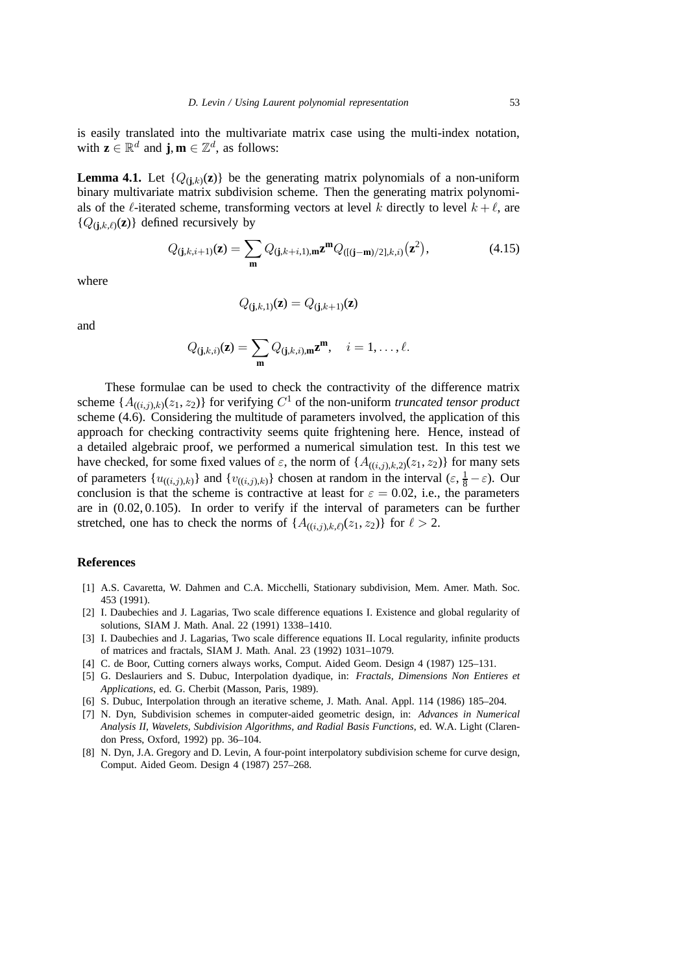is easily translated into the multivariate matrix case using the multi-index notation, with  $\mathbf{z} \in \mathbb{R}^d$  and **j**,  $\mathbf{m} \in \mathbb{Z}^d$ , as follows:

**Lemma 4.1.** Let  $\{Q_{(i,k)}(z)\}\)$  be the generating matrix polynomials of a non-uniform binary multivariate matrix subdivision scheme. Then the generating matrix polynomials of the  $\ell$ -iterated scheme, transforming vectors at level k directly to level  $k + \ell$ , are  ${Q_{(i,k,\ell)}(z)}$  defined recursively by

$$
Q_{(j,k,i+1)}(\mathbf{z}) = \sum_{\mathbf{m}} Q_{(j,k+i,1),\mathbf{m}} \mathbf{z}^{\mathbf{m}} Q_{([j-\mathbf{m})/2],k,i)}(\mathbf{z}^2),
$$
(4.15)

where

$$
Q_{(\mathbf{j},k,1)}(\mathbf{z}) = Q_{(\mathbf{j},k+1)}(\mathbf{z})
$$

and

$$
Q_{(\mathbf{j},k,i)}(\mathbf{z}) = \sum_{\mathbf{m}} Q_{(\mathbf{j},k,i),\mathbf{m}} \mathbf{z}^{\mathbf{m}}, \quad i = 1,\ldots,\ell.
$$

These formulae can be used to check the contractivity of the difference matrix scheme  $\{A_{((i,j),k)}(z_1, z_2)\}\$  for verifying  $C^1$  of the non-uniform *truncated tensor product* scheme (4.6). Considering the multitude of parameters involved, the application of this approach for checking contractivity seems quite frightening here. Hence, instead of a detailed algebraic proof, we performed a numerical simulation test. In this test we have checked, for some fixed values of  $\varepsilon$ , the norm of  $\{A_{((i,j),k,2)}(z_1, z_2)\}\)$  for many sets of parameters  $\{u_{((i,j),k)}\}$  and  $\{v_{((i,j),k)}\}$  chosen at random in the interval  $(\varepsilon, \frac{1}{8} - \varepsilon)$ . Our conclusion is that the scheme is contractive at least for  $\varepsilon = 0.02$ , i.e., the parameters are in (0.02, 0.105). In order to verify if the interval of parameters can be further stretched, one has to check the norms of  $\{A_{((i,j),k,\ell)}(z_1, z_2)\}\$  for  $\ell > 2$ .

### **References**

- [1] A.S. Cavaretta, W. Dahmen and C.A. Micchelli, Stationary subdivision, Mem. Amer. Math. Soc. 453 (1991).
- [2] I. Daubechies and J. Lagarias, Two scale difference equations I. Existence and global regularity of solutions, SIAM J. Math. Anal. 22 (1991) 1338–1410.
- [3] I. Daubechies and J. Lagarias, Two scale difference equations II. Local regularity, infinite products of matrices and fractals, SIAM J. Math. Anal. 23 (1992) 1031–1079.
- [4] C. de Boor, Cutting corners always works, Comput. Aided Geom. Design 4 (1987) 125–131.
- [5] G. Deslauriers and S. Dubuc, Interpolation dyadique, in: *Fractals, Dimensions Non Entieres et Applications*, ed. G. Cherbit (Masson, Paris, 1989).
- [6] S. Dubuc, Interpolation through an iterative scheme, J. Math. Anal. Appl. 114 (1986) 185–204.
- [7] N. Dyn, Subdivision schemes in computer-aided geometric design, in: *Advances in Numerical Analysis II, Wavelets, Subdivision Algorithms, and Radial Basis Functions*, ed. W.A. Light (Clarendon Press, Oxford, 1992) pp. 36–104.
- [8] N. Dyn, J.A. Gregory and D. Levin, A four-point interpolatory subdivision scheme for curve design, Comput. Aided Geom. Design 4 (1987) 257–268.